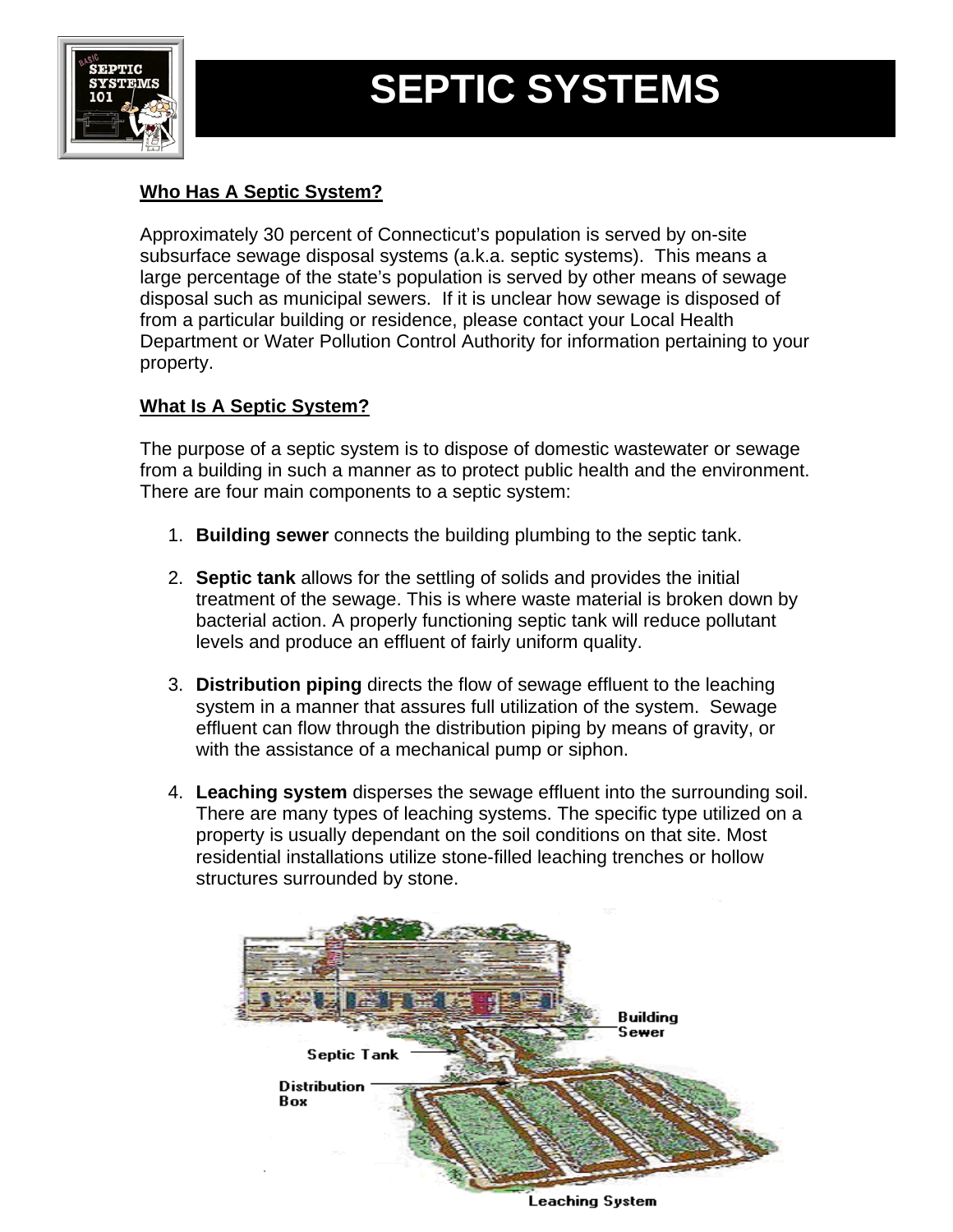

# **SEPTIC SYSTEMS**

# **Who Has A Septic System?**

Approximately 30 percent of Connecticut's population is served by on-site subsurface sewage disposal systems (a.k.a. septic systems). This means a large percentage of the state's population is served by other means of sewage disposal such as municipal sewers. If it is unclear how sewage is disposed of from a particular building or residence, please contact your Local Health Department or Water Pollution Control Authority for information pertaining to your property.

#### **What Is A Septic System?**

The purpose of a septic system is to dispose of domestic wastewater or sewage from a building in such a manner as to protect public health and the environment. There are four main components to a septic system:

- 1. **Building sewer** connects the building plumbing to the septic tank.
- 2. **Septic tank** allows for the settling of solids and provides the initial treatment of the sewage. This is where waste material is broken down by bacterial action. A properly functioning septic tank will reduce pollutant levels and produce an effluent of fairly uniform quality.
- 3. **Distribution piping** directs the flow of sewage effluent to the leaching system in a manner that assures full utilization of the system. Sewage effluent can flow through the distribution piping by means of gravity, or with the assistance of a mechanical pump or siphon.
- 4. **Leaching system** disperses the sewage effluent into the surrounding soil. There are many types of leaching systems. The specific type utilized on a property is usually dependant on the soil conditions on that site. Most residential installations utilize stone-filled leaching trenches or hollow structures surrounded by stone.

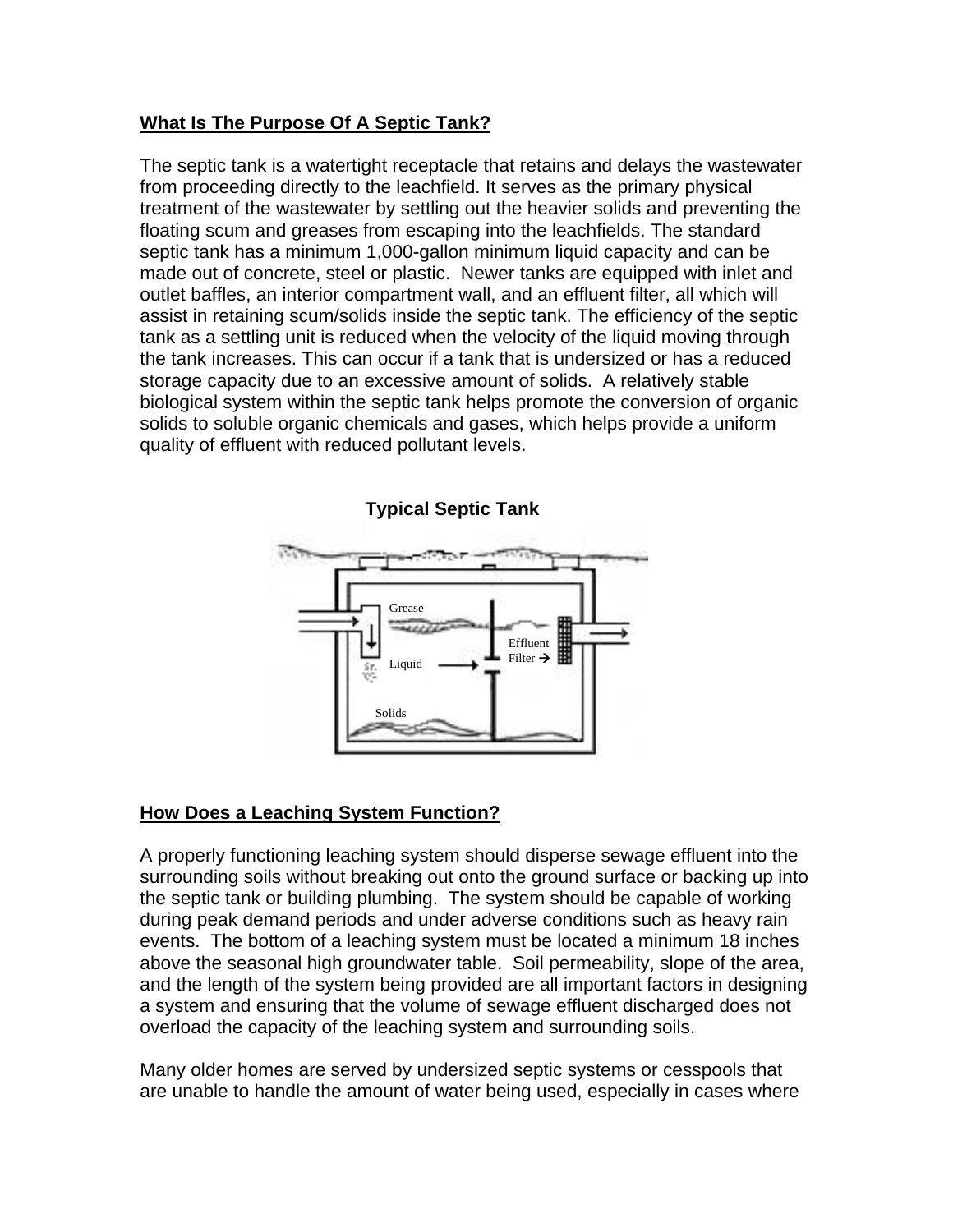#### **What Is The Purpose Of A Septic Tank?**

The septic tank is a watertight receptacle that retains and delays the wastewater from proceeding directly to the leachfield. It serves as the primary physical treatment of the wastewater by settling out the heavier solids and preventing the floating scum and greases from escaping into the leachfields. The standard septic tank has a minimum 1,000-gallon minimum liquid capacity and can be made out of concrete, steel or plastic. Newer tanks are equipped with inlet and outlet baffles, an interior compartment wall, and an effluent filter, all which will assist in retaining scum/solids inside the septic tank. The efficiency of the septic tank as a settling unit is reduced when the velocity of the liquid moving through the tank increases. This can occur if a tank that is undersized or has a reduced storage capacity due to an excessive amount of solids. A relatively stable biological system within the septic tank helps promote the conversion of organic solids to soluble organic chemicals and gases, which helps provide a uniform quality of effluent with reduced pollutant levels.



## **How Does a Leaching System Function?**

A properly functioning leaching system should disperse sewage effluent into the surrounding soils without breaking out onto the ground surface or backing up into the septic tank or building plumbing. The system should be capable of working during peak demand periods and under adverse conditions such as heavy rain events. The bottom of a leaching system must be located a minimum 18 inches above the seasonal high groundwater table. Soil permeability, slope of the area, and the length of the system being provided are all important factors in designing a system and ensuring that the volume of sewage effluent discharged does not overload the capacity of the leaching system and surrounding soils.

Many older homes are served by undersized septic systems or cesspools that are unable to handle the amount of water being used, especially in cases where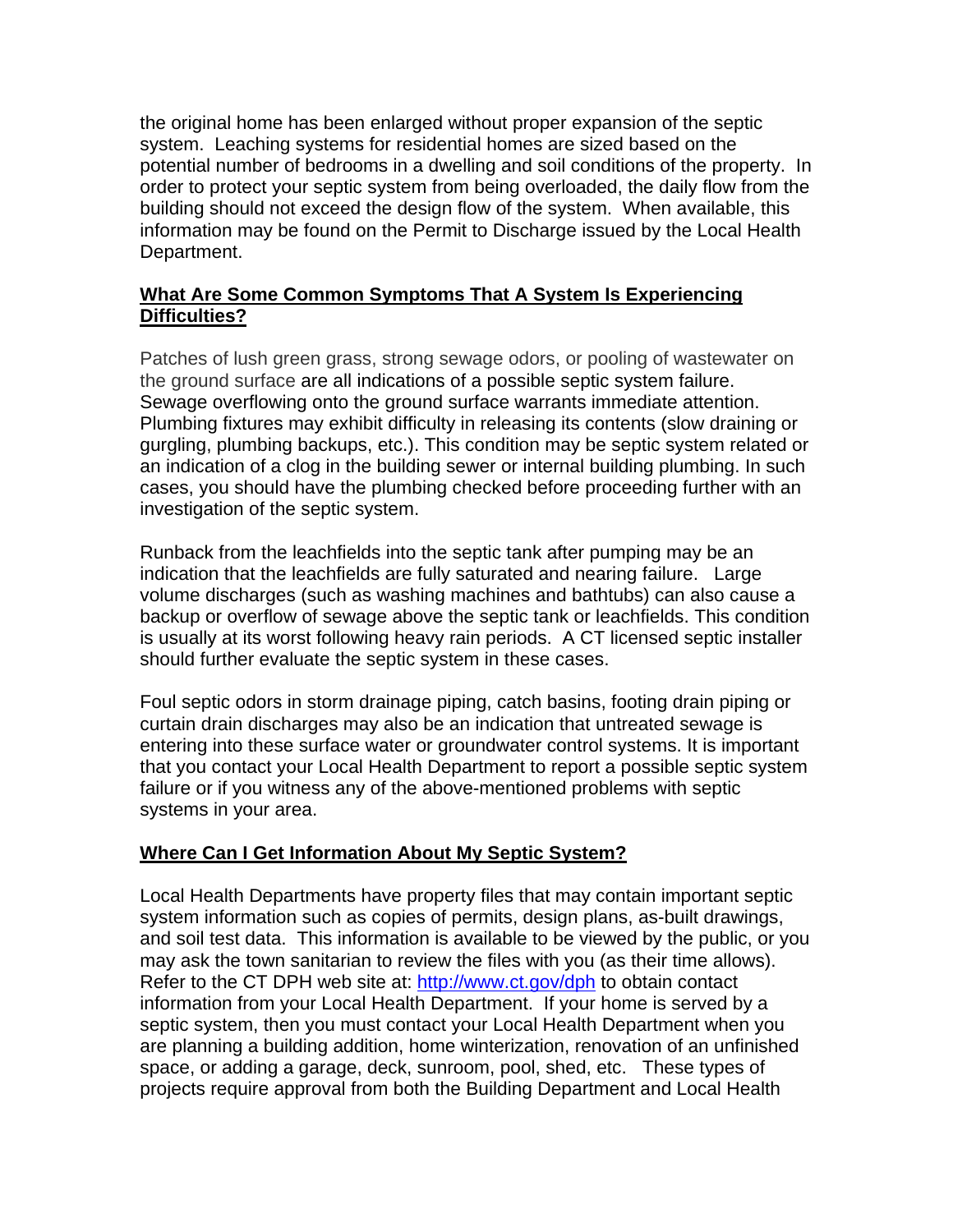the original home has been enlarged without proper expansion of the septic system. Leaching systems for residential homes are sized based on the potential number of bedrooms in a dwelling and soil conditions of the property. In order to protect your septic system from being overloaded, the daily flow from the building should not exceed the design flow of the system. When available, this information may be found on the Permit to Discharge issued by the Local Health Department.

#### **What Are Some Common Symptoms That A System Is Experiencing Difficulties?**

Patches of lush green grass, strong sewage odors, or pooling of wastewater on the ground surface are all indications of a possible septic system failure. Sewage overflowing onto the ground surface warrants immediate attention. Plumbing fixtures may exhibit difficulty in releasing its contents (slow draining or gurgling, plumbing backups, etc.). This condition may be septic system related or an indication of a clog in the building sewer or internal building plumbing. In such cases, you should have the plumbing checked before proceeding further with an investigation of the septic system.

Runback from the leachfields into the septic tank after pumping may be an indication that the leachfields are fully saturated and nearing failure. Large volume discharges (such as washing machines and bathtubs) can also cause a backup or overflow of sewage above the septic tank or leachfields. This condition is usually at its worst following heavy rain periods. A CT licensed septic installer should further evaluate the septic system in these cases.

Foul septic odors in storm drainage piping, catch basins, footing drain piping or curtain drain discharges may also be an indication that untreated sewage is entering into these surface water or groundwater control systems. It is important that you contact your Local Health Department to report a possible septic system failure or if you witness any of the above-mentioned problems with septic systems in your area.

## **Where Can I Get Information About My Septic System?**

Local Health Departments have property files that may contain important septic system information such as copies of permits, design plans, as-built drawings, and soil test data. This information is available to be viewed by the public, or you may ask the town sanitarian to review the files with you (as their time allows). Refer to the CT DPH web site at: http://www.ct.gov/dph to obtain contact information from your Local Health Department. If your home is served by a septic system, then you must contact your Local Health Department when you are planning a building addition, home winterization, renovation of an unfinished space, or adding a garage, deck, sunroom, pool, shed, etc. These types of projects require approval from both the Building Department and Local Health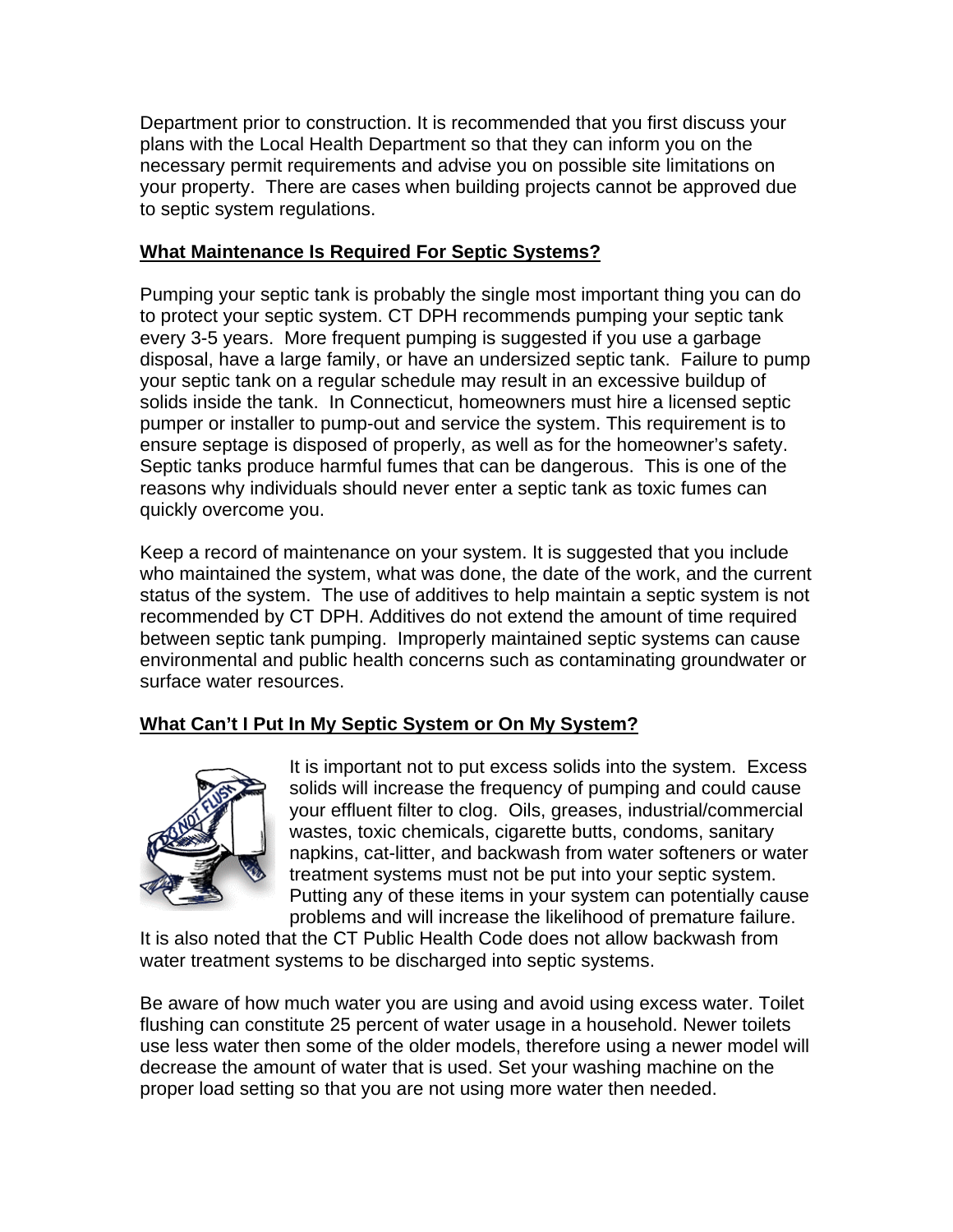Department prior to construction. It is recommended that you first discuss your plans with the Local Health Department so that they can inform you on the necessary permit requirements and advise you on possible site limitations on your property. There are cases when building projects cannot be approved due to septic system regulations.

#### **What Maintenance Is Required For Septic Systems?**

Pumping your septic tank is probably the single most important thing you can do to protect your septic system. CT DPH recommends pumping your septic tank every 3-5 years. More frequent pumping is suggested if you use a garbage disposal, have a large family, or have an undersized septic tank. Failure to pump your septic tank on a regular schedule may result in an excessive buildup of solids inside the tank. In Connecticut, homeowners must hire a licensed septic pumper or installer to pump-out and service the system. This requirement is to ensure septage is disposed of properly, as well as for the homeowner's safety. Septic tanks produce harmful fumes that can be dangerous. This is one of the reasons why individuals should never enter a septic tank as toxic fumes can quickly overcome you.

Keep a record of maintenance on your system. It is suggested that you include who maintained the system, what was done, the date of the work, and the current status of the system. The use of additives to help maintain a septic system is not recommended by CT DPH. Additives do not extend the amount of time required between septic tank pumping. Improperly maintained septic systems can cause environmental and public health concerns such as contaminating groundwater or surface water resources.

#### **What Can't I Put In My Septic System or On My System?**



It is important not to put excess solids into the system. Excess solids will increase the frequency of pumping and could cause your effluent filter to clog. Oils, greases, industrial/commercial wastes, toxic chemicals, cigarette butts, condoms, sanitary napkins, cat-litter, and backwash from water softeners or water treatment systems must not be put into your septic system. Putting any of these items in your system can potentially cause problems and will increase the likelihood of premature failure.

It is also noted that the CT Public Health Code does not allow backwash from water treatment systems to be discharged into septic systems.

Be aware of how much water you are using and avoid using excess water. Toilet flushing can constitute 25 percent of water usage in a household. Newer toilets use less water then some of the older models, therefore using a newer model will decrease the amount of water that is used. Set your washing machine on the proper load setting so that you are not using more water then needed.